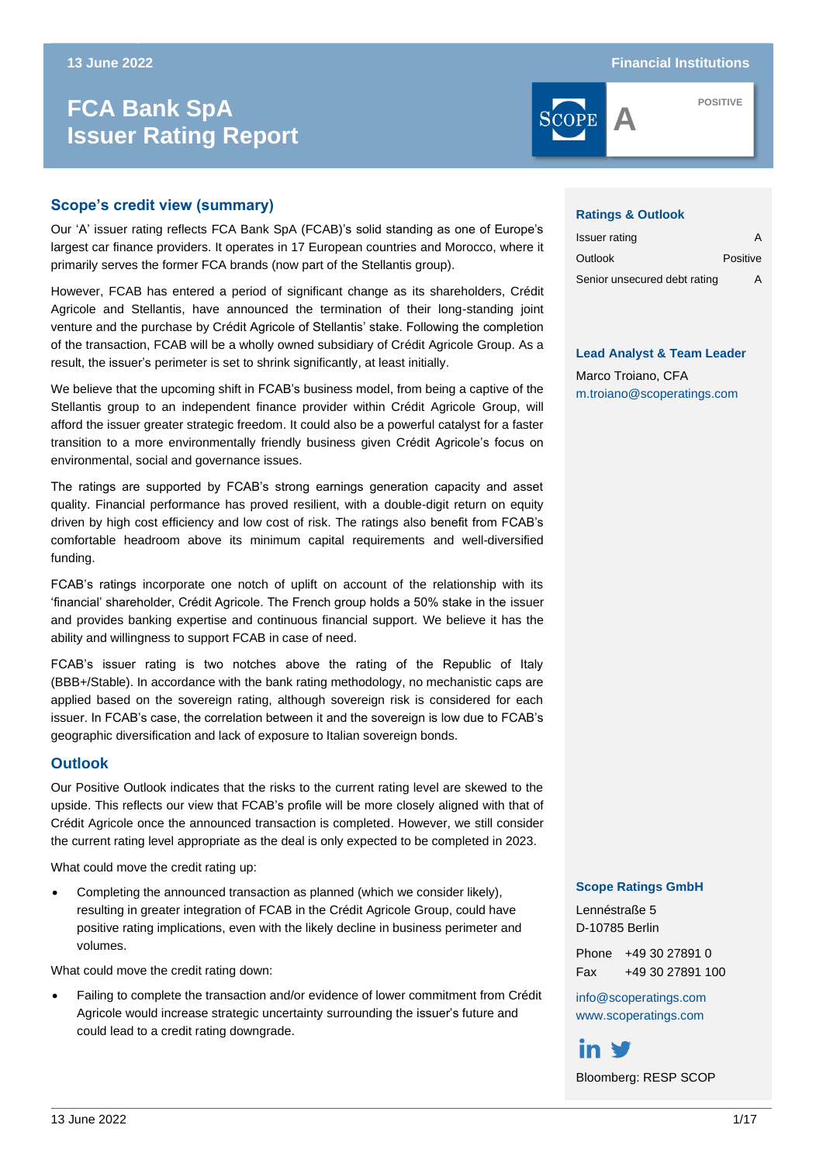# **ISSUER BANK SpA Issuer Rating Report**



**POSITIVE**

# **Scope's credit view (summary)**

Our 'A' issuer rating reflects FCA Bank SpA (FCAB)'s solid standing as one of Europe's largest car finance providers. It operates in 17 European countries and Morocco, where it primarily serves the former FCA brands (now part of the Stellantis group).

However, FCAB has entered a period of significant change as its shareholders, Crédit Agricole and Stellantis, have announced the termination of their long-standing joint venture and the purchase by Crédit Agricole of Stellantis' stake. Following the completion of the transaction, FCAB will be a wholly owned subsidiary of Crédit Agricole Group. As a result, the issuer's perimeter is set to shrink significantly, at least initially.

We believe that the upcoming shift in FCAB's business model, from being a captive of the Stellantis group to an independent finance provider within Crédit Agricole Group, will afford the issuer greater strategic freedom. It could also be a powerful catalyst for a faster transition to a more environmentally friendly business given Crédit Agricole's focus on environmental, social and governance issues.

The ratings are supported by FCAB's strong earnings generation capacity and asset quality. Financial performance has proved resilient, with a double-digit return on equity driven by high cost efficiency and low cost of risk. The ratings also benefit from FCAB's comfortable headroom above its minimum capital requirements and well-diversified funding.

FCAB's ratings incorporate one notch of uplift on account of the relationship with its 'financial' shareholder, Crédit Agricole. The French group holds a 50% stake in the issuer and provides banking expertise and continuous financial support. We believe it has the ability and willingness to support FCAB in case of need.

FCAB's issuer rating is two notches above the rating of the Republic of Italy (BBB+/Stable). In accordance with the bank rating methodology, no mechanistic caps are applied based on the sovereign rating, although sovereign risk is considered for each issuer. In FCAB's case, the correlation between it and the sovereign is low due to FCAB's geographic diversification and lack of exposure to Italian sovereign bonds.

### **Outlook**

Our Positive Outlook indicates that the risks to the current rating level are skewed to the upside. This reflects our view that FCAB's profile will be more closely aligned with that of Crédit Agricole once the announced transaction is completed. However, we still consider the current rating level appropriate as the deal is only expected to be completed in 2023.

What could move the credit rating up:

• Completing the announced transaction as planned (which we consider likely), resulting in greater integration of FCAB in the Crédit Agricole Group, could have positive rating implications, even with the likely decline in business perimeter and volumes.

What could move the credit rating down:

• Failing to complete the transaction and/or evidence of lower commitment from Crédit Agricole would increase strategic uncertainty surrounding the issuer's future and could lead to a credit rating downgrade.

#### **Ratings & Outlook**

| Issuer rating                | А        |
|------------------------------|----------|
| Outlook                      | Positive |
| Senior unsecured debt rating | Д        |

#### **Lead Analyst & Team Leader**

Marco Troiano, CFA [m.troiano@scoperatings.com](mailto:m.troiano@scoperatings.com)

#### **Scope Ratings GmbH**

Lennéstraße 5 D-10785 Berlin

Phone +49 30 27891 0 Fax +49 30 27891 100

[info@scoperatings.com](mailto:info@scoperatings.com) [www.scoperatings.com](https://www.scoperatings.com/#home)

in ₩ Bloomberg: RESP SCOP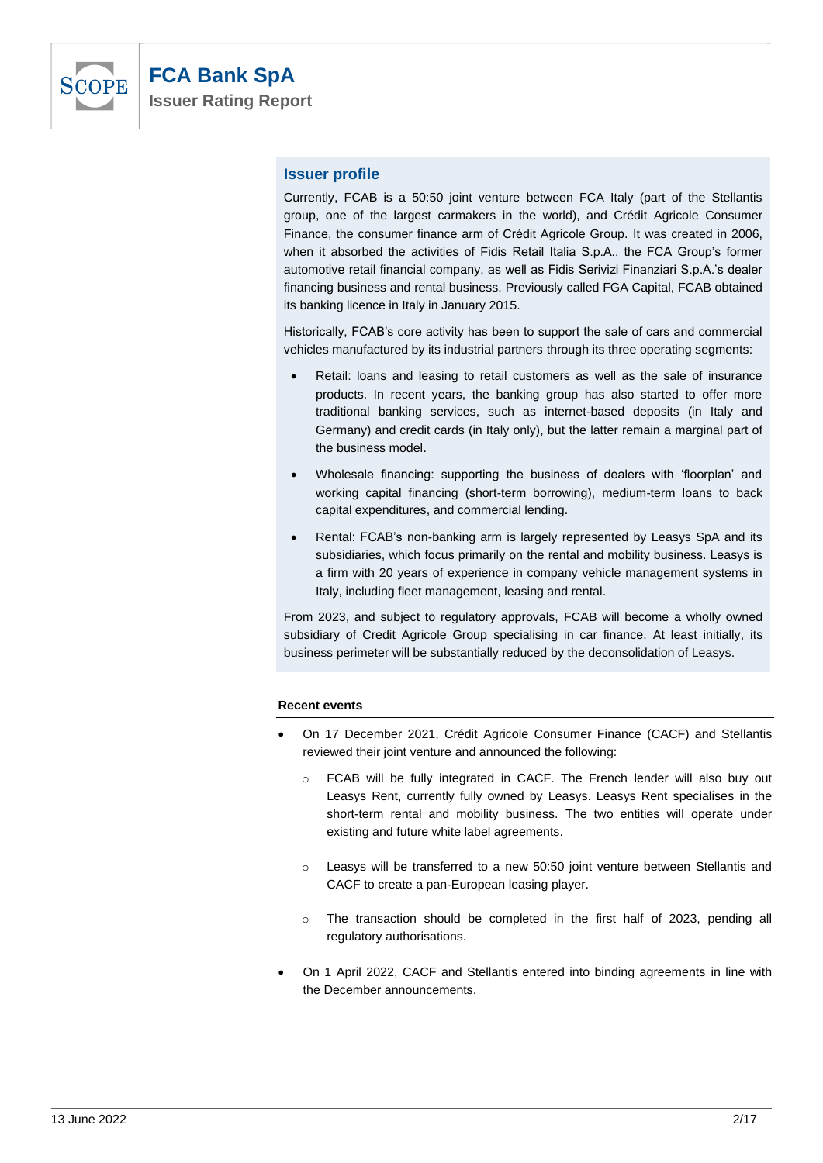

# **Issuer profile**

Currently, FCAB is a 50:50 joint venture between FCA Italy (part of the Stellantis group, one of the largest carmakers in the world), and Crédit Agricole Consumer Finance, the consumer finance arm of Crédit Agricole Group. It was created in 2006, when it absorbed the activities of Fidis Retail Italia S.p.A., the FCA Group's former automotive retail financial company, as well as Fidis Serivizi Finanziari S.p.A.'s dealer financing business and rental business. Previously called FGA Capital, FCAB obtained its banking licence in Italy in January 2015.

Historically, FCAB's core activity has been to support the sale of cars and commercial vehicles manufactured by its industrial partners through its three operating segments:

- Retail: loans and leasing to retail customers as well as the sale of insurance products. In recent years, the banking group has also started to offer more traditional banking services, such as internet-based deposits (in Italy and Germany) and credit cards (in Italy only), but the latter remain a marginal part of the business model.
- Wholesale financing: supporting the business of dealers with 'floorplan' and working capital financing (short-term borrowing), medium-term loans to back capital expenditures, and commercial lending.
- Rental: FCAB's non-banking arm is largely represented by Leasys SpA and its subsidiaries, which focus primarily on the rental and mobility business. Leasys is a firm with 20 years of experience in company vehicle management systems in Italy, including fleet management, leasing and rental.

From 2023, and subject to regulatory approvals, FCAB will become a wholly owned subsidiary of Credit Agricole Group specialising in car finance. At least initially, its business perimeter will be substantially reduced by the deconsolidation of Leasys.

#### **Recent events**

- On 17 December 2021, Crédit Agricole Consumer Finance (CACF) and Stellantis reviewed their joint venture and announced the following:
	- o FCAB will be fully integrated in CACF. The French lender will also buy out Leasys Rent, currently fully owned by Leasys. Leasys Rent specialises in the short-term rental and mobility business. The two entities will operate under existing and future white label agreements.
	- o Leasys will be transferred to a new 50:50 joint venture between Stellantis and CACF to create a pan-European leasing player.
	- $\circ$  The transaction should be completed in the first half of 2023, pending all regulatory authorisations.
- On 1 April 2022, CACF and Stellantis entered into binding agreements in line with the December announcements.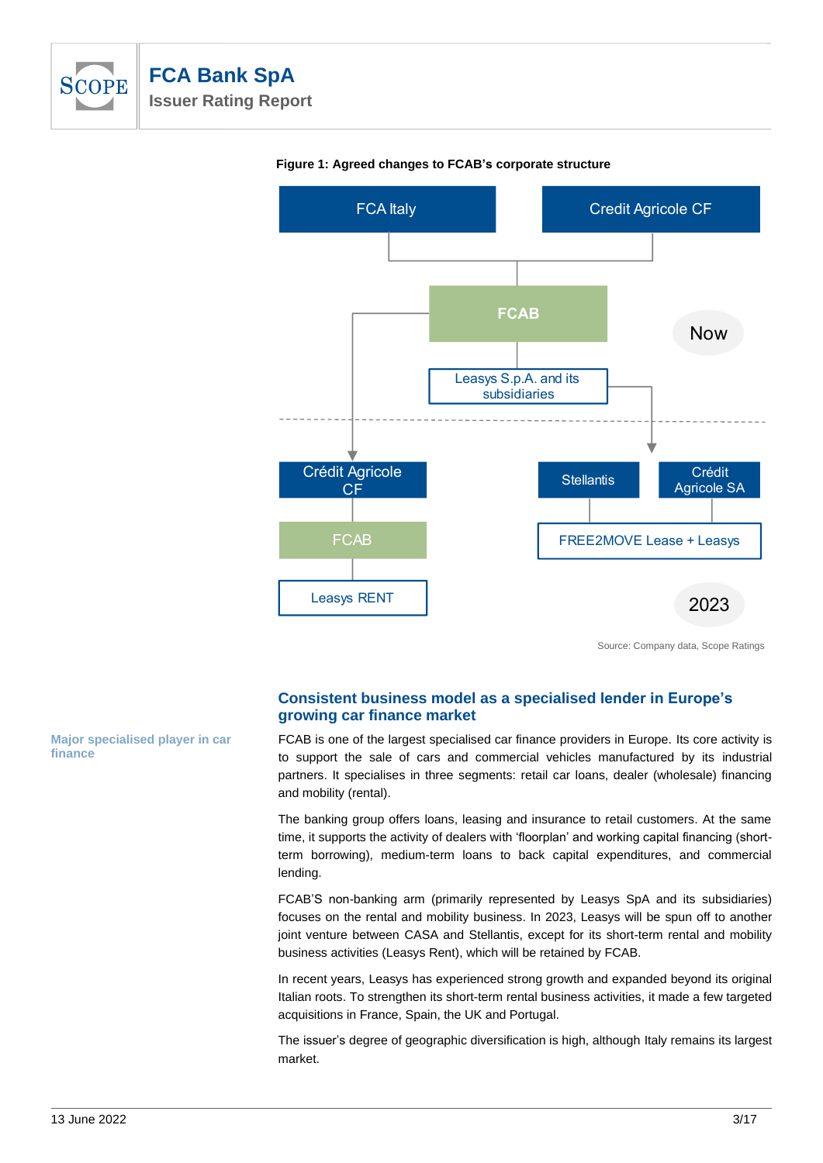



#### **Figure 1: Agreed changes to FCAB's corporate structure**

Source: Company data, Scope Ratings

# **Consistent business model as a specialised lender in Europe's growing car finance market**

FCAB is one of the largest specialised car finance providers in Europe. Its core activity is to support the sale of cars and commercial vehicles manufactured by its industrial partners. It specialises in three segments: retail car loans, dealer (wholesale) financing and mobility (rental).

The banking group offers loans, leasing and insurance to retail customers. At the same time, it supports the activity of dealers with 'floorplan' and working capital financing (shortterm borrowing), medium-term loans to back capital expenditures, and commercial lending.

FCAB'S non-banking arm (primarily represented by Leasys SpA and its subsidiaries) focuses on the rental and mobility business. In 2023, Leasys will be spun off to another joint venture between CASA and Stellantis, except for its short-term rental and mobility business activities (Leasys Rent), which will be retained by FCAB.

In recent years, Leasys has experienced strong growth and expanded beyond its original Italian roots. To strengthen its short-term rental business activities, it made a few targeted acquisitions in France, Spain, the UK and Portugal.

The issuer's degree of geographic diversification is high, although Italy remains its largest market.

**Major specialised player in car finance**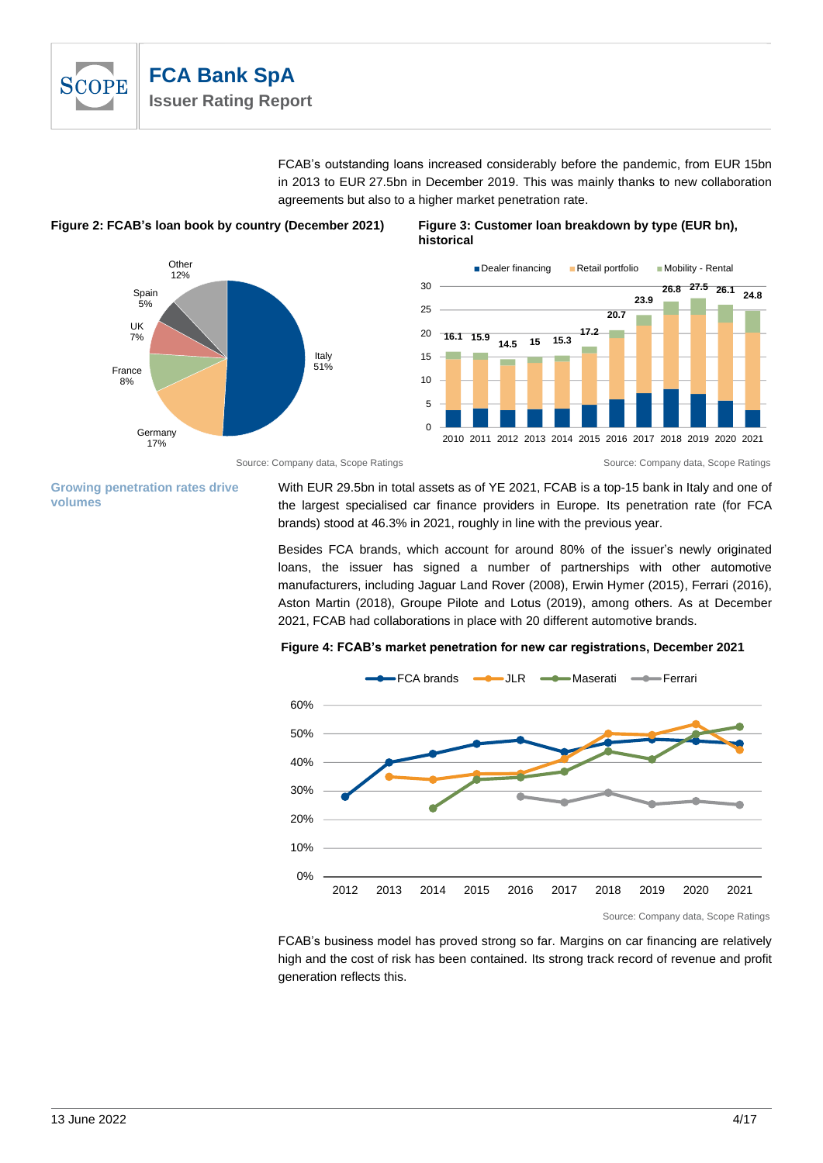

FCAB's outstanding loans increased considerably before the pandemic, from EUR 15bn in 2013 to EUR 27.5bn in December 2019. This was mainly thanks to new collaboration agreements but also to a higher market penetration rate.



#### **Figure 2: FCAB's loan book by country (December 2021) Figure 3: Customer loan breakdown by type (EUR bn), historical**



#### Source: Company data, Scope Ratings **Source: Company data, Scope Ratings** Source: Company data, Scope Ratings

#### **Growing penetration rates drive volumes**

With EUR 29.5bn in total assets as of YE 2021, FCAB is a top-15 bank in Italy and one of the largest specialised car finance providers in Europe. Its penetration rate (for FCA brands) stood at 46.3% in 2021, roughly in line with the previous year.

Besides FCA brands, which account for around 80% of the issuer's newly originated loans, the issuer has signed a number of partnerships with other automotive manufacturers, including Jaguar Land Rover (2008), Erwin Hymer (2015), Ferrari (2016), Aston Martin (2018), Groupe Pilote and Lotus (2019), among others. As at December 2021, FCAB had collaborations in place with 20 different automotive brands.

#### **Figure 4: FCAB's market penetration for new car registrations, December 2021**



FCAB's business model has proved strong so far. Margins on car financing are relatively high and the cost of risk has been contained. Its strong track record of revenue and profit generation reflects this.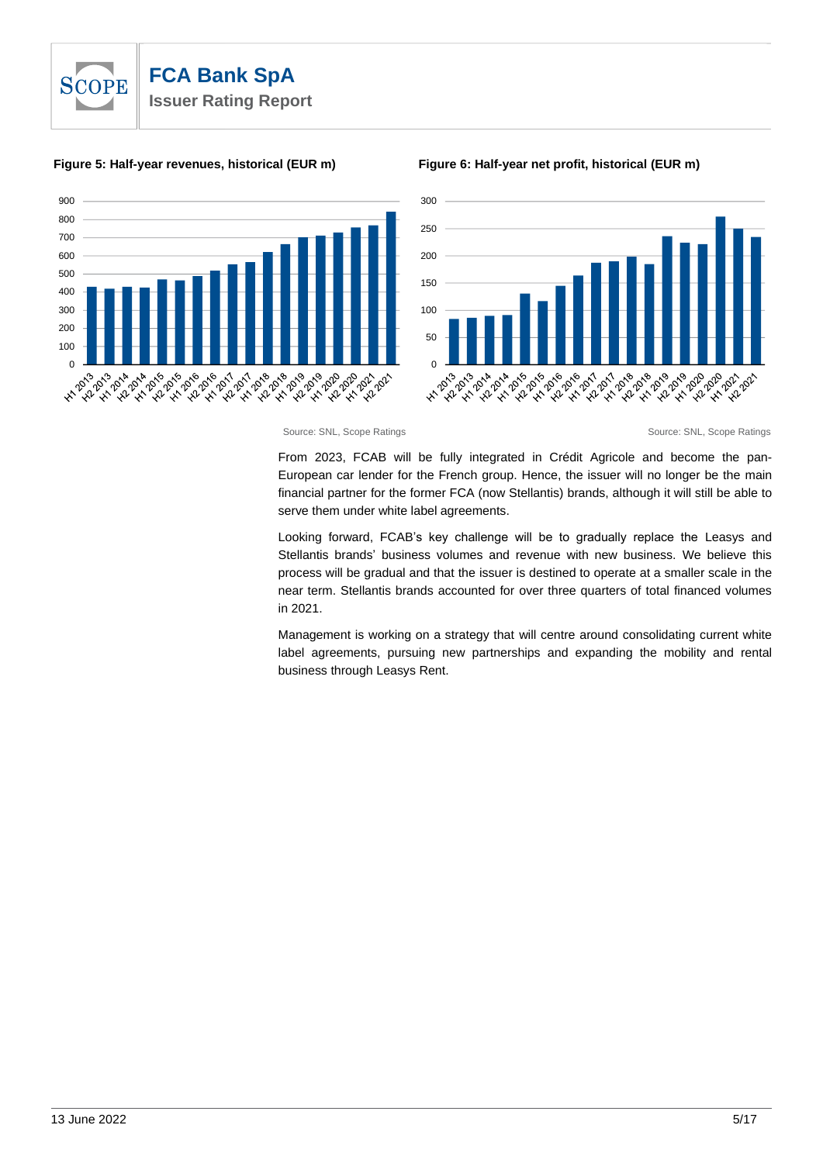

#### **Figure 5: Half-year revenues, historical (EUR m) Figure 6: Half-year net profit, historical (EUR m)**







From 2023, FCAB will be fully integrated in Crédit Agricole and become the pan-European car lender for the French group. Hence, the issuer will no longer be the main financial partner for the former FCA (now Stellantis) brands, although it will still be able to serve them under white label agreements.

Looking forward, FCAB's key challenge will be to gradually replace the Leasys and Stellantis brands' business volumes and revenue with new business. We believe this process will be gradual and that the issuer is destined to operate at a smaller scale in the near term. Stellantis brands accounted for over three quarters of total financed volumes in 2021.

Management is working on a strategy that will centre around consolidating current white label agreements, pursuing new partnerships and expanding the mobility and rental business through Leasys Rent.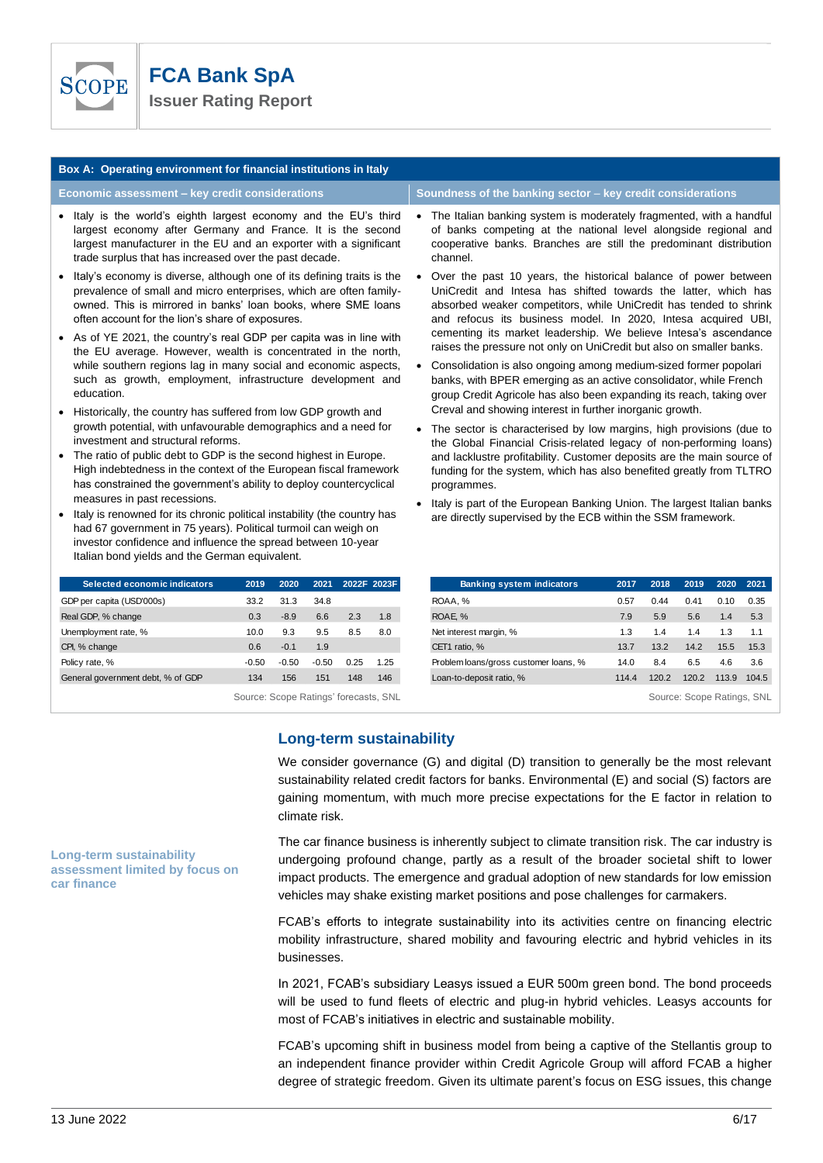

| Box A: Operating environment for financial institutions in Italy                                                                                                                                                                                                    |                                                             |                                                                                                                                                                                                                                                                         |  |  |  |  |  |
|---------------------------------------------------------------------------------------------------------------------------------------------------------------------------------------------------------------------------------------------------------------------|-------------------------------------------------------------|-------------------------------------------------------------------------------------------------------------------------------------------------------------------------------------------------------------------------------------------------------------------------|--|--|--|--|--|
| Economic assessment - key credit considerations                                                                                                                                                                                                                     | Soundness of the banking sector – key credit considerations |                                                                                                                                                                                                                                                                         |  |  |  |  |  |
| • Italy is the world's eighth largest economy and the EU's third<br>largest economy after Germany and France. It is the second<br>largest manufacturer in the EU and an exporter with a significant<br>trade surplus that has increased over the past decade.       |                                                             | The Italian banking system is moderately fragmented, with a handful<br>of banks competing at the national level alongside regional and<br>cooperative banks. Branches are still the predominant distribution<br>channel.                                                |  |  |  |  |  |
| • Italy's economy is diverse, although one of its defining traits is the<br>prevalence of small and micro enterprises, which are often family-<br>owned. This is mirrored in banks' loan books, where SME loans<br>often account for the lion's share of exposures. |                                                             | Over the past 10 years, the historical balance of power between<br>UniCredit and Intesa has shifted towards the latter, which has<br>absorbed weaker competitors, while UniCredit has tended to shrink<br>and refocus its business model. In 2020, Intesa acquired UBI, |  |  |  |  |  |
| • As of YE 2021, the country's real GDP per capita was in line with<br>the EU overage However weekh is concentrated in the next                                                                                                                                     |                                                             | cementing its market leadership. We believe Intesa's ascendance<br>raises the pressure not only on UniCredit but also on smaller banks.                                                                                                                                 |  |  |  |  |  |

- the EU average. However, wealth is concentrated in the north, while southern regions lag in many social and economic aspects, such as growth, employment, infrastructure development and education.
- Historically, the country has suffered from low GDP growth and growth potential, with unfavourable demographics and a need for investment and structural reforms.
- The ratio of public debt to GDP is the second highest in Europe. High indebtedness in the context of the European fiscal framework has constrained the government's ability to deploy countercyclical measures in past recessions.
- Italy is renowned for its chronic political instability (the country has had 67 government in 75 years). Political turmoil can weigh on investor confidence and influence the spread between 10-year Italian bond yields and the German equivalent.

| Selected economic indicators      | 2019                                  | 2020    | 2021    |      | 2022F 2023F |
|-----------------------------------|---------------------------------------|---------|---------|------|-------------|
| GDP per capita (USD'000s)         | 33.2                                  | 31.3    | 34.8    |      |             |
| Real GDP, % change                | 0.3                                   | $-8.9$  | 6.6     | 2.3  | 1.8         |
| Unemployment rate, %              | 10.0                                  | 9.3     | 9.5     | 8.5  | 8.0         |
| CPI, % change                     | 0.6                                   | $-0.1$  | 1.9     |      |             |
| Policy rate, %                    | $-0.50$                               | $-0.50$ | $-0.50$ | 0.25 | 1.25        |
| General government debt, % of GDP | 134                                   | 156     | 151     | 148  | 146         |
|                                   | Source: Scone Ratings' forecasts, SNI |         |         |      |             |

- Over the past 10 years, the historical balance of power between UniCredit and Intesa has shifted towards the latter, which has absorbed weaker competitors, while UniCredit has tended to shrink and refocus its business model. In 2020, Intesa acquired UBI,
- Consolidation is also ongoing among medium-sized former popolari banks, with BPER emerging as an active consolidator, while French group Credit Agricole has also been expanding its reach, taking over Creval and showing interest in further inorganic growth.
- The sector is characterised by low margins, high provisions (due to the Global Financial Crisis-related legacy of non-performing loans) and lacklustre profitability. Customer deposits are the main source of funding for the system, which has also benefited greatly from TLTRO programmes.
- Italy is part of the European Banking Union. The largest Italian banks are directly supervised by the ECB within the SSM framework.

| 2019                                  | 2020    | 2021    |      | 2022F 2023F | <b>Banking system indicators</b>      | 2017  | 2018  | 2019                       | 2020  | 2021  |
|---------------------------------------|---------|---------|------|-------------|---------------------------------------|-------|-------|----------------------------|-------|-------|
| 33.2                                  | 31.3    | 34.8    |      |             | ROAA, %                               | 0.57  | 0.44  | 0.41                       | 0.10  | 0.35  |
| 0.3                                   | $-8.9$  | 6.6     | 2.3  | 1.8         | ROAE. %                               | 7.9   | 5.9   | 5.6                        | 1.4   | 5.3   |
| 10.0                                  | 9.3     | 9.5     | 8.5  | 8.0         | Net interest margin, %                | 1.3   | 1.4   | 1.4                        | 1.3   | 1.1   |
| 0.6                                   | $-0.1$  | 1.9     |      |             | CET1 ratio, %                         | 13.7  | 13.2  | 14.2                       | 15.5  | 15.3  |
| $-0.50$                               | $-0.50$ | $-0.50$ | 0.25 | 1.25        | Problem loans/gross customer loans, % | 14.0  | 8.4   | 6.5                        | 4.6   | 3.6   |
| 134                                   | 156     | 151     | 148  | 146         | Loan-to-deposit ratio, %              | 114.4 | 120.2 | 120.2                      | 113.9 | 104.5 |
| Source: Scope Ratings' forecasts, SNL |         |         |      |             |                                       |       |       | Source: Scope Ratings, SNL |       |       |

# **Long-term sustainability**

We consider governance (G) and digital (D) transition to generally be the most relevant sustainability related credit factors for banks. Environmental (E) and social (S) factors are gaining momentum, with much more precise expectations for the E factor in relation to climate risk.

The car finance business is inherently subject to climate transition risk. The car industry is undergoing profound change, partly as a result of the broader societal shift to lower impact products. The emergence and gradual adoption of new standards for low emission vehicles may shake existing market positions and pose challenges for carmakers.

FCAB's efforts to integrate sustainability into its activities centre on financing electric mobility infrastructure, shared mobility and favouring electric and hybrid vehicles in its businesses.

In 2021, FCAB's subsidiary Leasys issued a EUR 500m green bond. The bond proceeds will be used to fund fleets of electric and plug-in hybrid vehicles. Leasys accounts for most of FCAB's initiatives in electric and sustainable mobility.

FCAB's upcoming shift in business model from being a captive of the Stellantis group to an independent finance provider within Credit Agricole Group will afford FCAB a higher degree of strategic freedom. Given its ultimate parent's focus on ESG issues, this change

#### **Long-term sustainability assessment limited by focus on car finance**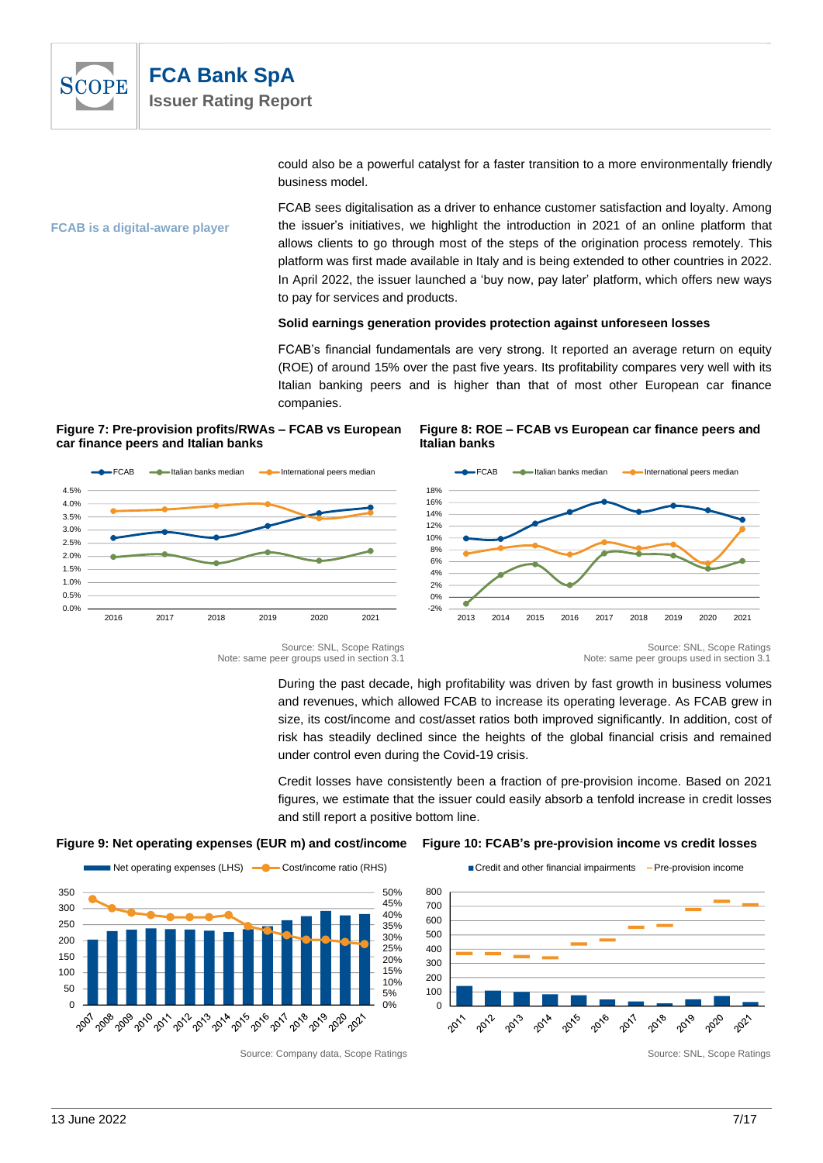

could also be a powerful catalyst for a faster transition to a more environmentally friendly business model.

**FCAB is a digital-aware player** 

FCAB sees digitalisation as a driver to enhance customer satisfaction and loyalty. Among the issuer's initiatives, we highlight the introduction in 2021 of an online platform that allows clients to go through most of the steps of the origination process remotely. This platform was first made available in Italy and is being extended to other countries in 2022. In April 2022, the issuer launched a 'buy now, pay later' platform, which offers new ways to pay for services and products.

#### **Solid earnings generation provides protection against unforeseen losses**

FCAB's financial fundamentals are very strong. It reported an average return on equity (ROE) of around 15% over the past five years. Its profitability compares very well with its Italian banking peers and is higher than that of most other European car finance companies.

**Figure 7: Pre-provision profits/RWAs – FCAB vs European car finance peers and Italian banks** 



**Figure 8: ROE – FCAB vs European car finance peers and Italian banks**



Source: SNL, Scope Ratings Note: same peer groups used in section 3.1

During the past decade, high profitability was driven by fast growth in business volumes and revenues, which allowed FCAB to increase its operating leverage. As FCAB grew in size, its cost/income and cost/asset ratios both improved significantly. In addition, cost of risk has steadily declined since the heights of the global financial crisis and remained under control even during the Covid-19 crisis.

Credit losses have consistently been a fraction of pre-provision income. Based on 2021 figures, we estimate that the issuer could easily absorb a tenfold increase in credit losses and still report a positive bottom line.

#### **Figure 9: Net operating expenses (EUR m) and cost/income Figure 10: FCAB's pre-provision income vs credit losses**





Source: Company data, Scope Ratings Source: SNL, Scope Ratings Source: SNL, Scope Ratings

Source: SNL, Scope Ratings Note: same peer groups used in section 3.1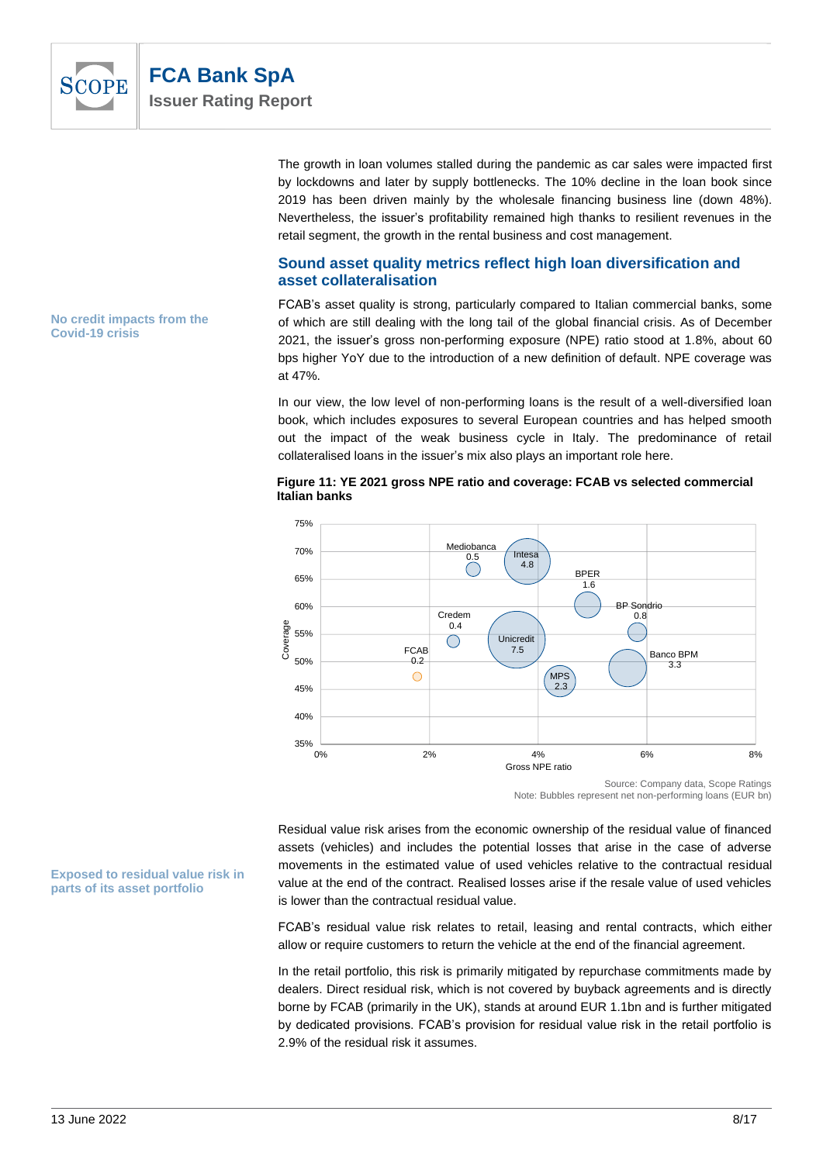

The growth in loan volumes stalled during the pandemic as car sales were impacted first by lockdowns and later by supply bottlenecks. The 10% decline in the loan book since 2019 has been driven mainly by the wholesale financing business line (down 48%). Nevertheless, the issuer's profitability remained high thanks to resilient revenues in the retail segment, the growth in the rental business and cost management.

# **Sound asset quality metrics reflect high loan diversification and asset collateralisation**

FCAB's asset quality is strong, particularly compared to Italian commercial banks, some of which are still dealing with the long tail of the global financial crisis. As of December 2021, the issuer's gross non-performing exposure (NPE) ratio stood at 1.8%, about 60 bps higher YoY due to the introduction of a new definition of default. NPE coverage was at 47%.

In our view, the low level of non-performing loans is the result of a well-diversified loan book, which includes exposures to several European countries and has helped smooth out the impact of the weak business cycle in Italy. The predominance of retail collateralised loans in the issuer's mix also plays an important role here.





Note: Bubbles represent net non-performing loans (EUR bn)

Residual value risk arises from the economic ownership of the residual value of financed assets (vehicles) and includes the potential losses that arise in the case of adverse movements in the estimated value of used vehicles relative to the contractual residual value at the end of the contract. Realised losses arise if the resale value of used vehicles is lower than the contractual residual value.

FCAB's residual value risk relates to retail, leasing and rental contracts, which either allow or require customers to return the vehicle at the end of the financial agreement.

In the retail portfolio, this risk is primarily mitigated by repurchase commitments made by dealers. Direct residual risk, which is not covered by buyback agreements and is directly borne by FCAB (primarily in the UK), stands at around EUR 1.1bn and is further mitigated by dedicated provisions. FCAB's provision for residual value risk in the retail portfolio is 2.9% of the residual risk it assumes.

#### **No credit impacts from the Covid-19 crisis**

**Exposed to residual value risk in parts of its asset portfolio**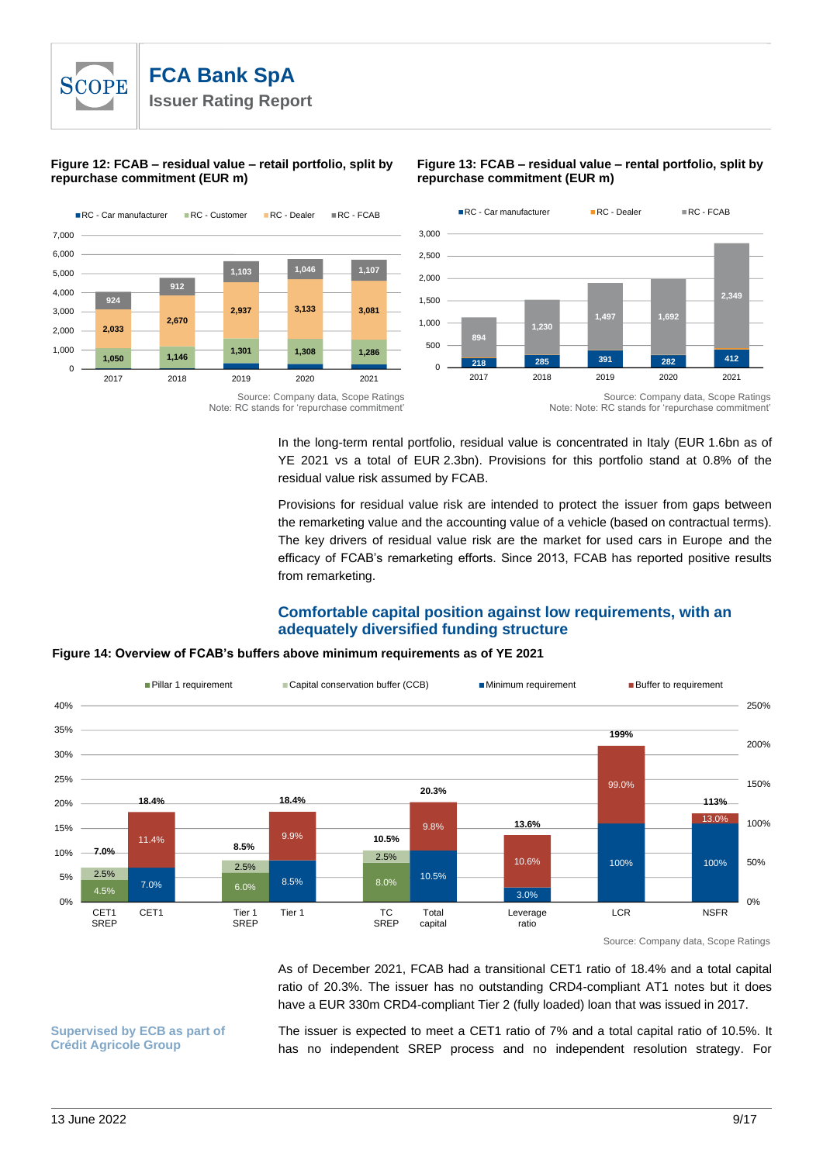#### **Figure 12: FCAB – residual value – retail portfolio, split by repurchase commitment (EUR m)**



#### **Figure 13: FCAB – residual value – rental portfolio, split by repurchase commitment (EUR m)**



Source: Company data, Scope Ratings Note: RC stands for 'repurchase commitment'

In the long-term rental portfolio, residual value is concentrated in Italy (EUR 1.6bn as of YE 2021 vs a total of EUR 2.3bn). Provisions for this portfolio stand at 0.8% of the residual value risk assumed by FCAB.

Provisions for residual value risk are intended to protect the issuer from gaps between the remarketing value and the accounting value of a vehicle (based on contractual terms). The key drivers of residual value risk are the market for used cars in Europe and the efficacy of FCAB's remarketing efforts. Since 2013, FCAB has reported positive results from remarketing.

# **Comfortable capital position against low requirements, with an adequately diversified funding structure**

# **Figure 14: Overview of FCAB's buffers above minimum requirements as of YE 2021**



Source: Company data, Scope Ratings

As of December 2021, FCAB had a transitional CET1 ratio of 18.4% and a total capital ratio of 20.3%. The issuer has no outstanding CRD4-compliant AT1 notes but it does have a EUR 330m CRD4-compliant Tier 2 (fully loaded) loan that was issued in 2017.

**Supervised by ECB as part of Crédit Agricole Group**

The issuer is expected to meet a CET1 ratio of 7% and a total capital ratio of 10.5%. It has no independent SREP process and no independent resolution strategy. For

Note: Note: RC stands for 'repurchase commitment'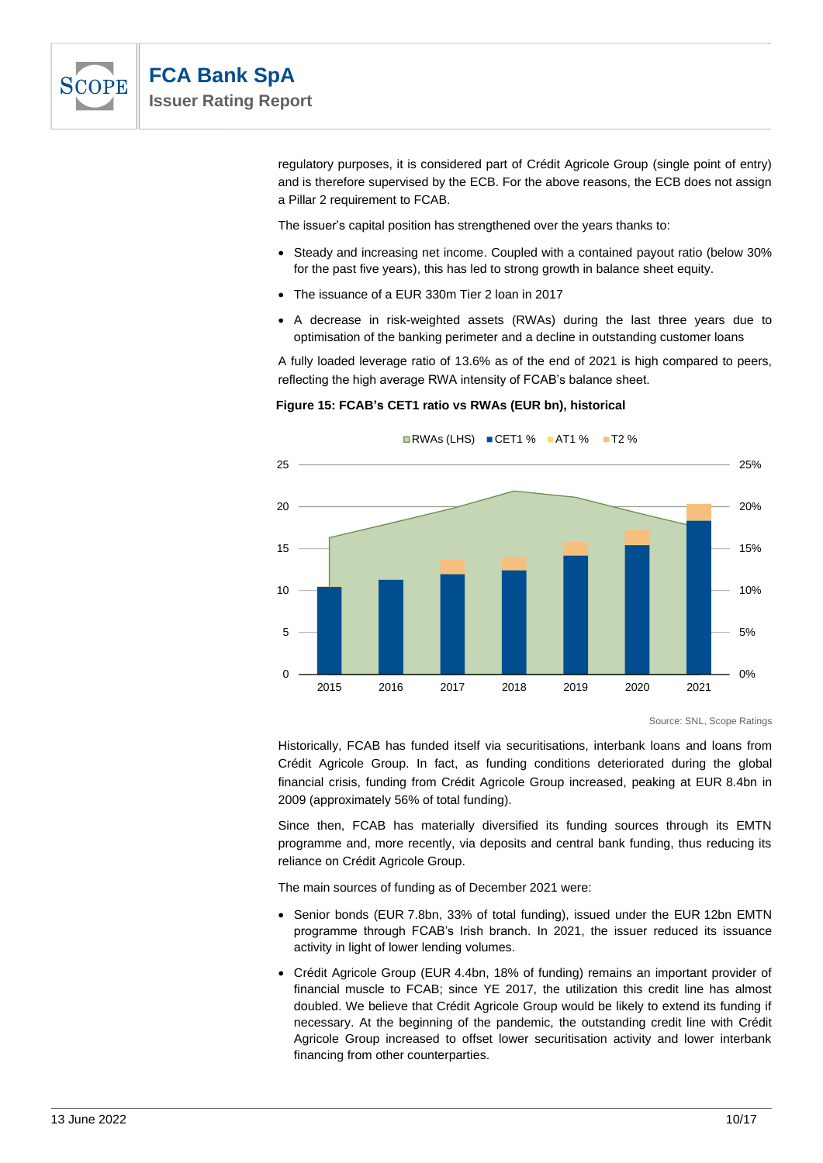

regulatory purposes, it is considered part of Crédit Agricole Group (single point of entry) and is therefore supervised by the ECB. For the above reasons, the ECB does not assign a Pillar 2 requirement to FCAB.

The issuer's capital position has strengthened over the years thanks to:

- Steady and increasing net income. Coupled with a contained payout ratio (below 30% for the past five years), this has led to strong growth in balance sheet equity.
- The issuance of a EUR 330m Tier 2 loan in 2017
- A decrease in risk-weighted assets (RWAs) during the last three years due to optimisation of the banking perimeter and a decline in outstanding customer loans

A fully loaded leverage ratio of 13.6% as of the end of 2021 is high compared to peers, reflecting the high average RWA intensity of FCAB's balance sheet.

#### **Figure 15: FCAB's CET1 ratio vs RWAs (EUR bn), historical**



Source: SNL, Scope Ratings

Historically, FCAB has funded itself via securitisations, interbank loans and loans from Crédit Agricole Group. In fact, as funding conditions deteriorated during the global financial crisis, funding from Crédit Agricole Group increased, peaking at EUR 8.4bn in 2009 (approximately 56% of total funding).

Since then, FCAB has materially diversified its funding sources through its EMTN programme and, more recently, via deposits and central bank funding, thus reducing its reliance on Crédit Agricole Group.

The main sources of funding as of December 2021 were:

- Senior bonds (EUR 7.8bn, 33% of total funding), issued under the EUR 12bn EMTN programme through FCAB's Irish branch. In 2021, the issuer reduced its issuance activity in light of lower lending volumes.
- Crédit Agricole Group (EUR 4.4bn, 18% of funding) remains an important provider of financial muscle to FCAB; since YE 2017, the utilization this credit line has almost doubled. We believe that Crédit Agricole Group would be likely to extend its funding if necessary. At the beginning of the pandemic, the outstanding credit line with Crédit Agricole Group increased to offset lower securitisation activity and lower interbank financing from other counterparties.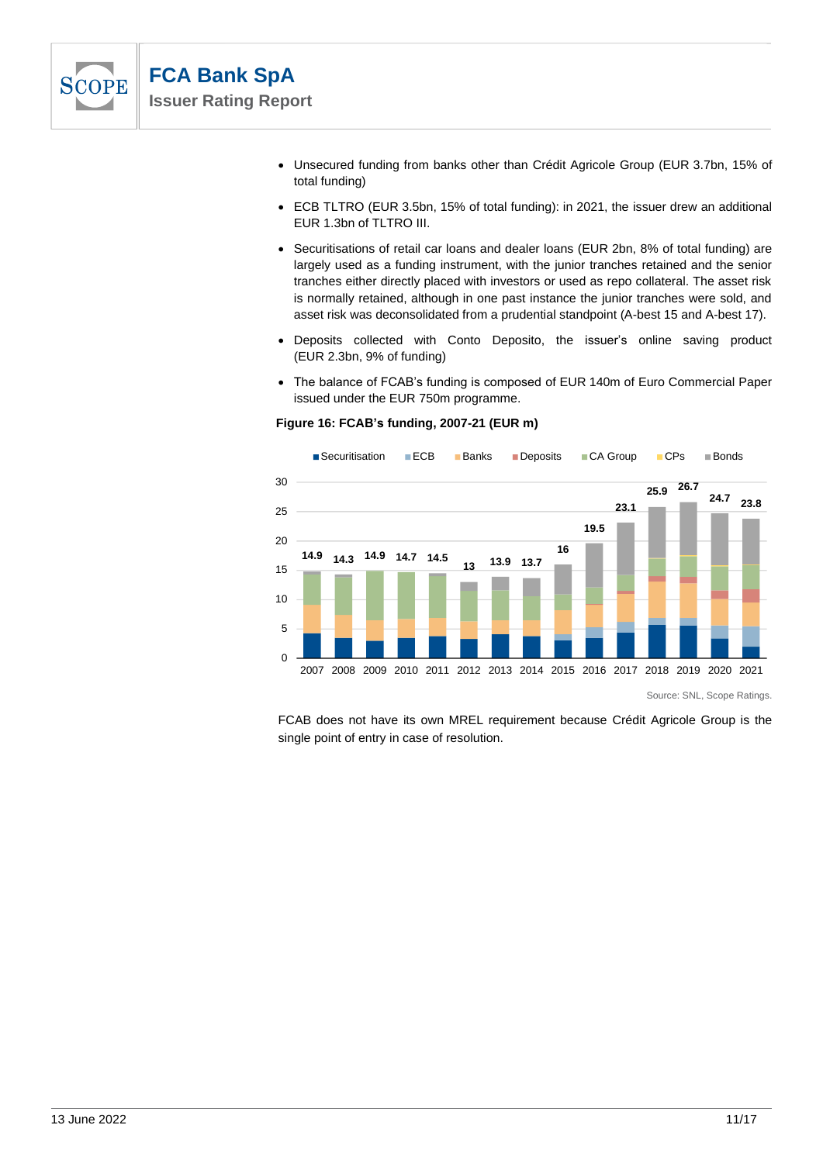

- Unsecured funding from banks other than Crédit Agricole Group (EUR 3.7bn, 15% of total funding)
- ECB TLTRO (EUR 3.5bn, 15% of total funding): in 2021, the issuer drew an additional EUR 1.3bn of TLTRO III.
- Securitisations of retail car loans and dealer loans (EUR 2bn, 8% of total funding) are largely used as a funding instrument, with the junior tranches retained and the senior tranches either directly placed with investors or used as repo collateral. The asset risk is normally retained, although in one past instance the junior tranches were sold, and asset risk was deconsolidated from a prudential standpoint (A-best 15 and A-best 17).
- Deposits collected with Conto Deposito, the issuer's online saving product (EUR 2.3bn, 9% of funding)
- The balance of FCAB's funding is composed of EUR 140m of Euro Commercial Paper issued under the EUR 750m programme.

#### **Figure 16: FCA 's funding, 2007-21 (EUR m)**



Source: SNL, Scope Ratings.

FCAB does not have its own MREL requirement because Crédit Agricole Group is the single point of entry in case of resolution.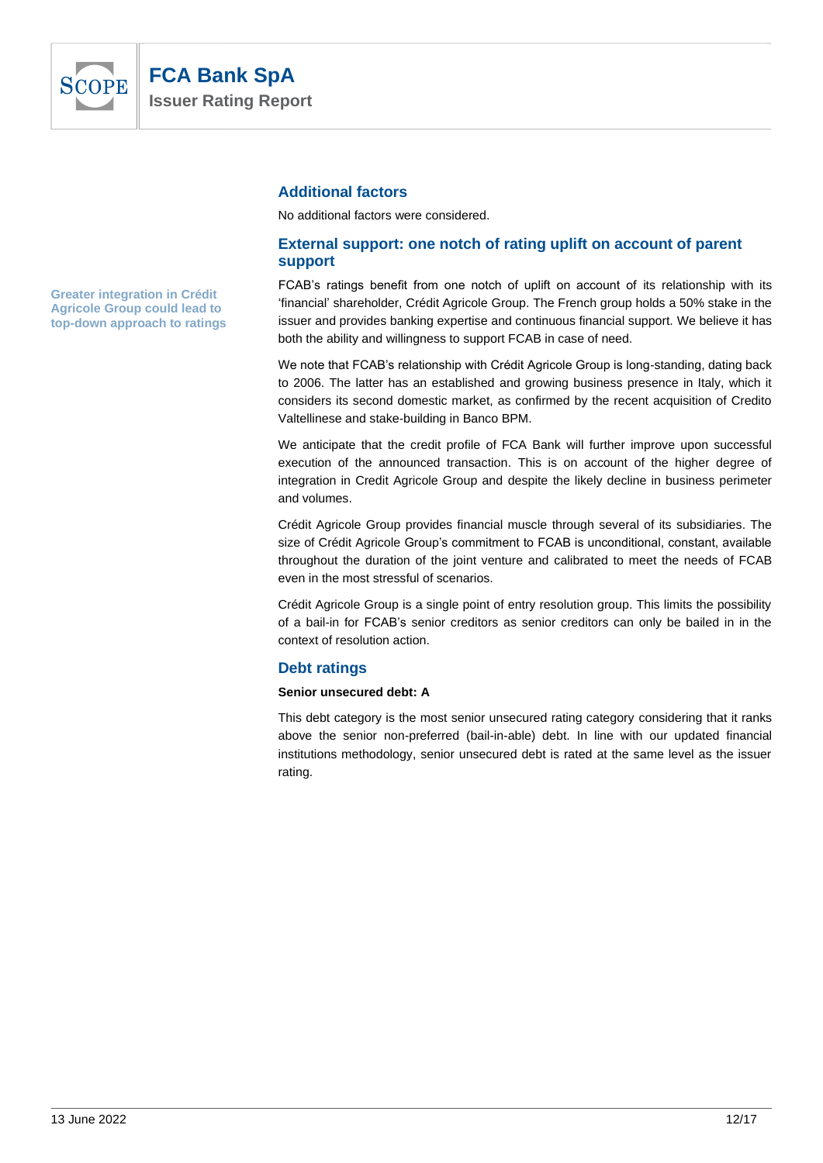

# **Additional factors**

No additional factors were considered.

# **External support: one notch of rating uplift on account of parent support**

FCAB's ratings benefit from one notch of uplift on account of its relationship with its 'financial' shareholder, Crédit Agricole Group. The French group holds a 50% stake in the issuer and provides banking expertise and continuous financial support. We believe it has both the ability and willingness to support FCAB in case of need.

We note that FCAB's relationship with Crédit Agricole Group is long-standing, dating back to 2006. The latter has an established and growing business presence in Italy, which it considers its second domestic market, as confirmed by the recent acquisition of Credito Valtellinese and stake-building in Banco BPM.

We anticipate that the credit profile of FCA Bank will further improve upon successful execution of the announced transaction. This is on account of the higher degree of integration in Credit Agricole Group and despite the likely decline in business perimeter and volumes.

Crédit Agricole Group provides financial muscle through several of its subsidiaries. The size of Crédit Agricole Group's commitment to FCAB is unconditional, constant, available throughout the duration of the joint venture and calibrated to meet the needs of FCAB even in the most stressful of scenarios.

Crédit Agricole Group is a single point of entry resolution group. This limits the possibility of a bail-in for FCAB's senior creditors as senior creditors can only be bailed in in the context of resolution action.

# **Debt ratings**

#### **Senior unsecured debt: A**

This debt category is the most senior unsecured rating category considering that it ranks above the senior non-preferred (bail-in-able) debt. In line with our updated financial institutions methodology, senior unsecured debt is rated at the same level as the issuer rating.

**Greater integration in Crédit Agricole Group could lead to top-down approach to ratings**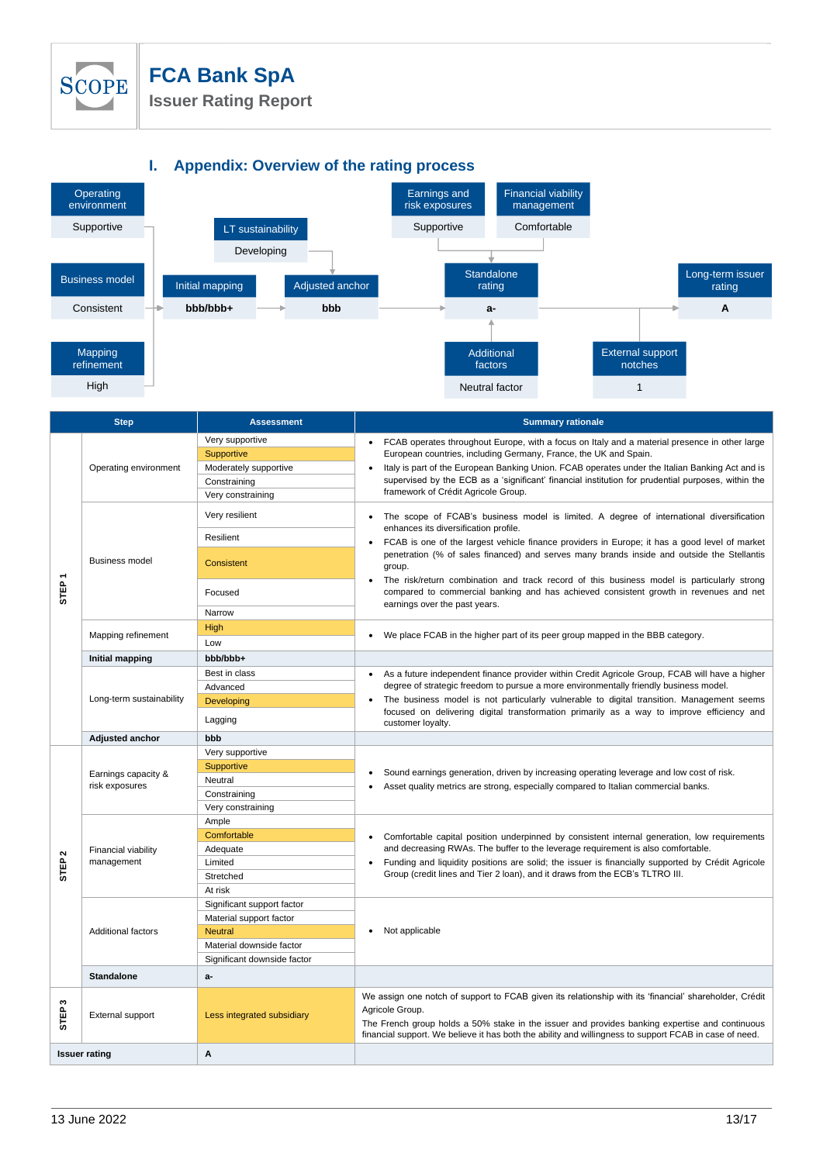

# **FCA Bank SpA**

**Issuer Rating Report**



|                       | <b>Step</b>                              | <b>Assessment</b>                                                                                                                  | <b>Summary rationale</b>                                                                                                                                                                                                                                                                                                                                                                                                                                                                                                                                                             |
|-----------------------|------------------------------------------|------------------------------------------------------------------------------------------------------------------------------------|--------------------------------------------------------------------------------------------------------------------------------------------------------------------------------------------------------------------------------------------------------------------------------------------------------------------------------------------------------------------------------------------------------------------------------------------------------------------------------------------------------------------------------------------------------------------------------------|
| STEP                  | Operating environment                    | Very supportive<br>Supportive<br>Moderately supportive<br>Constraining<br>Very constraining                                        | FCAB operates throughout Europe, with a focus on Italy and a material presence in other large<br>$\bullet$<br>European countries, including Germany, France, the UK and Spain.<br>Italy is part of the European Banking Union. FCAB operates under the Italian Banking Act and is<br>supervised by the ECB as a 'significant' financial institution for prudential purposes, within the<br>framework of Crédit Agricole Group.                                                                                                                                                       |
|                       | <b>Business model</b>                    | Very resilient<br>Resilient<br>Consistent<br>Focused                                                                               | The scope of FCAB's business model is limited. A degree of international diversification<br>$\bullet$<br>enhances its diversification profile.<br>FCAB is one of the largest vehicle finance providers in Europe; it has a good level of market<br>penetration (% of sales financed) and serves many brands inside and outside the Stellantis<br>group.<br>The risk/return combination and track record of this business model is particularly strong<br>٠<br>compared to commercial banking and has achieved consistent growth in revenues and net<br>earnings over the past years. |
|                       | Mapping refinement                       | Narrow<br>High<br>Low                                                                                                              | We place FCAB in the higher part of its peer group mapped in the BBB category.                                                                                                                                                                                                                                                                                                                                                                                                                                                                                                       |
|                       | <b>Initial mapping</b>                   | +ddd\ddd                                                                                                                           |                                                                                                                                                                                                                                                                                                                                                                                                                                                                                                                                                                                      |
|                       | Long-term sustainability                 | Best in class<br>Advanced<br>Developing<br>Lagging                                                                                 | As a future independent finance provider within Credit Agricole Group, FCAB will have a higher<br>$\bullet$<br>degree of strategic freedom to pursue a more environmentally friendly business model.<br>The business model is not particularly vulnerable to digital transition. Management seems<br>focused on delivering digital transformation primarily as a way to improve efficiency and<br>customer loyalty.                                                                                                                                                                  |
|                       | Adjusted anchor                          | bbb                                                                                                                                |                                                                                                                                                                                                                                                                                                                                                                                                                                                                                                                                                                                      |
| $\sim$<br><b>STEP</b> | Earnings capacity &<br>risk exposures    | Very supportive<br>Supportive<br>Neutral<br>Constraining<br>Very constraining                                                      | Sound earnings generation, driven by increasing operating leverage and low cost of risk.<br>Asset quality metrics are strong, especially compared to Italian commercial banks.                                                                                                                                                                                                                                                                                                                                                                                                       |
|                       | <b>Financial viability</b><br>management | Ample<br>Comfortable<br>Adequate<br>Limited<br>Stretched<br>At risk                                                                | Comfortable capital position underpinned by consistent internal generation, low requirements<br>$\bullet$<br>and decreasing RWAs. The buffer to the leverage requirement is also comfortable.<br>Funding and liquidity positions are solid; the issuer is financially supported by Crédit Agricole<br>$\bullet$<br>Group (credit lines and Tier 2 loan), and it draws from the ECB's TLTRO III.                                                                                                                                                                                      |
|                       | <b>Additional factors</b>                | Significant support factor<br>Material support factor<br><b>Neutral</b><br>Material downside factor<br>Significant downside factor | Not applicable<br>$\bullet$                                                                                                                                                                                                                                                                                                                                                                                                                                                                                                                                                          |
|                       | <b>Standalone</b>                        | a-                                                                                                                                 |                                                                                                                                                                                                                                                                                                                                                                                                                                                                                                                                                                                      |
| S<br>STEP             | External support                         | Less integrated subsidiary                                                                                                         | We assign one notch of support to FCAB given its relationship with its 'financial' shareholder, Crédit<br>Agricole Group.<br>The French group holds a 50% stake in the issuer and provides banking expertise and continuous<br>financial support. We believe it has both the ability and willingness to support FCAB in case of need.                                                                                                                                                                                                                                                |
|                       | <b>Issuer rating</b>                     | A                                                                                                                                  |                                                                                                                                                                                                                                                                                                                                                                                                                                                                                                                                                                                      |
|                       |                                          |                                                                                                                                    |                                                                                                                                                                                                                                                                                                                                                                                                                                                                                                                                                                                      |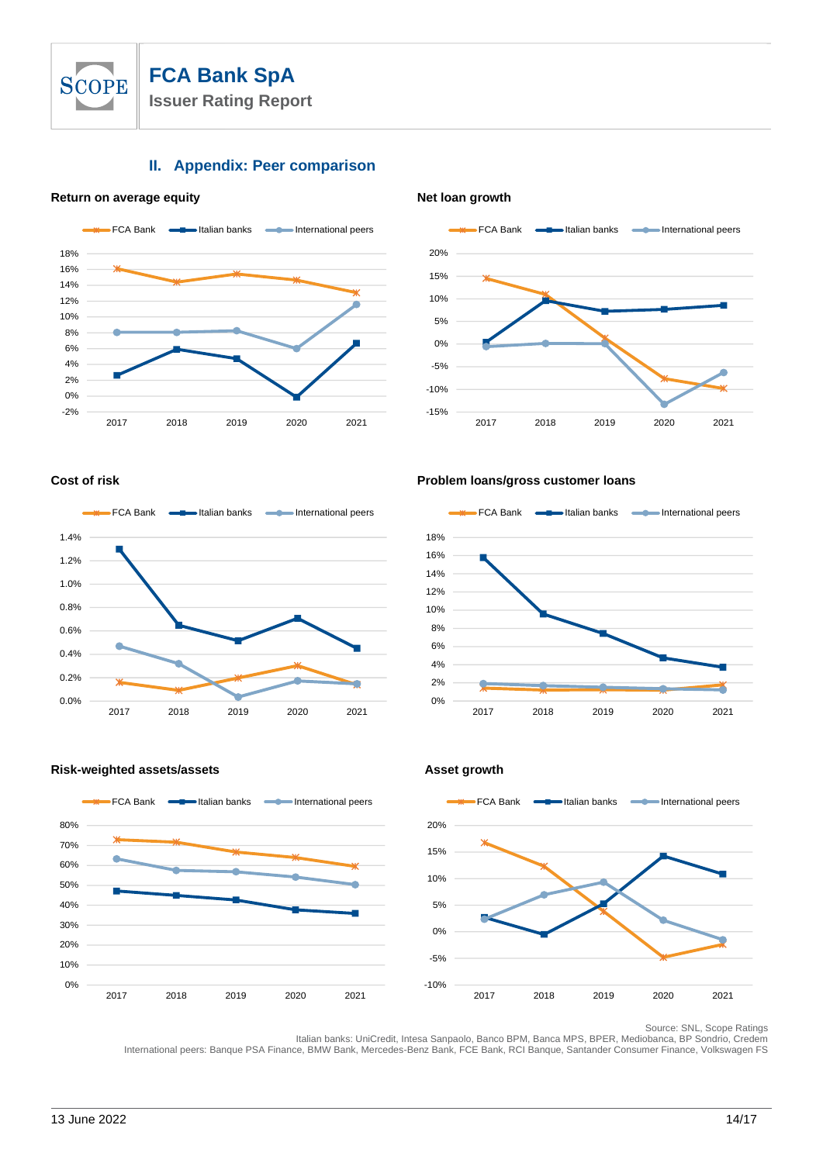

# **II. Appendix: Peer comparison**

#### **Return on average equity Net loan growth**







#### **Cost of risk Problem loans/gross customer loans**



# **Risk-weighted assets/assets Asset growth**





Source: SNL, Scope Ratings

Italian banks: UniCredit, Intesa Sanpaolo, Banco BPM, Banca MPS, BPER, Mediobanca, BP Sondrio, Credem International peers: Banque PSA Finance, BMW Bank, Mercedes-Benz Bank, FCE Bank, RCI Banque, Santander Consumer Finance, Volkswagen FS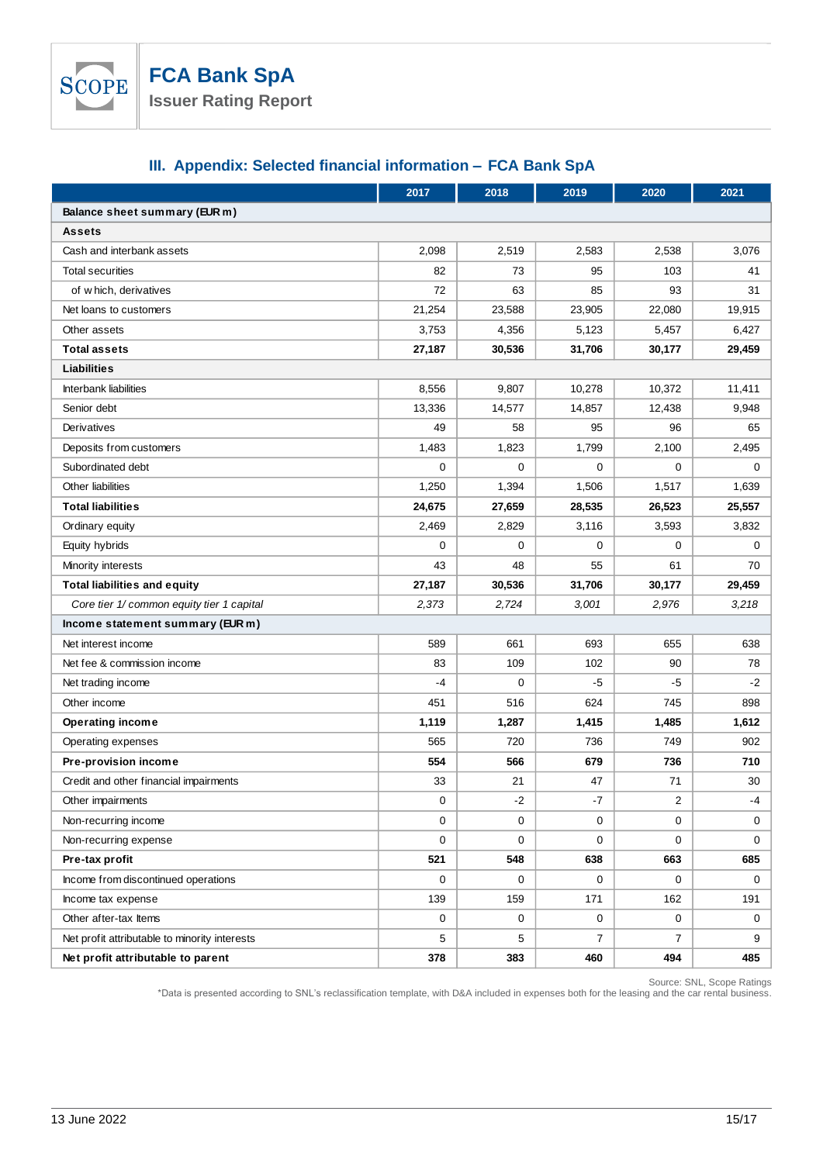

# **III. Appendix: Selected financial information – FCA Bank SpA**

|                                               | 2017   | 2018        | 2019           | 2020           | 2021   |  |  |  |
|-----------------------------------------------|--------|-------------|----------------|----------------|--------|--|--|--|
| Balance sheet summary (EUR m)                 |        |             |                |                |        |  |  |  |
| <b>Assets</b>                                 |        |             |                |                |        |  |  |  |
| Cash and interbank assets                     | 2,098  | 2,519       | 2,583          | 2,538          | 3,076  |  |  |  |
| <b>Total securities</b>                       | 82     | 73          | 95             | 103            | 41     |  |  |  |
| of which, derivatives                         | 72     | 63          | 85             | 93             | 31     |  |  |  |
| Net loans to customers                        | 21,254 | 23,588      | 23,905         | 22,080         | 19,915 |  |  |  |
| Other assets                                  | 3,753  | 4,356       | 5,123          | 5,457          | 6,427  |  |  |  |
| <b>Total assets</b>                           | 27,187 | 30,536      | 31,706         | 30,177         | 29,459 |  |  |  |
| <b>Liabilities</b>                            |        |             |                |                |        |  |  |  |
| <b>Interbank liabilities</b>                  | 8,556  | 9,807       | 10,278         | 10,372         | 11,411 |  |  |  |
| Senior debt                                   | 13,336 | 14,577      | 14,857         | 12,438         | 9,948  |  |  |  |
| Derivatives                                   | 49     | 58          | 95             | 96             | 65     |  |  |  |
| Deposits from customers                       | 1,483  | 1,823       | 1,799          | 2,100          | 2,495  |  |  |  |
| Subordinated debt                             | 0      | $\mathbf 0$ | $\mathbf 0$    | 0              | 0      |  |  |  |
| Other liabilities                             | 1,250  | 1,394       | 1,506          | 1,517          | 1,639  |  |  |  |
| <b>Total liabilities</b>                      | 24,675 | 27,659      | 28,535         | 26,523         | 25,557 |  |  |  |
| Ordinary equity                               | 2,469  | 2,829       | 3,116          | 3,593          | 3,832  |  |  |  |
| Equity hybrids                                | 0      | $\mathbf 0$ | $\mathbf 0$    | 0              | 0      |  |  |  |
| Minority interests                            | 43     | 48          | 55             | 61             | 70     |  |  |  |
| <b>Total liabilities and equity</b>           | 27,187 | 30,536      | 31,706         | 30,177         | 29,459 |  |  |  |
| Core tier 1/ common equity tier 1 capital     | 2,373  | 2,724       | 3,001          | 2,976          | 3,218  |  |  |  |
| Income statement summary (EUR m)              |        |             |                |                |        |  |  |  |
| Net interest income                           | 589    | 661         | 693            | 655            | 638    |  |  |  |
| Net fee & commission income                   | 83     | 109         | 102            | 90             | 78     |  |  |  |
| Net trading income                            | $-4$   | $\mathbf 0$ | -5             | -5             | -2     |  |  |  |
| Other income                                  | 451    | 516         | 624            | 745            | 898    |  |  |  |
| <b>Operating income</b>                       | 1,119  | 1,287       | 1,415          | 1,485          | 1,612  |  |  |  |
| Operating expenses                            | 565    | 720         | 736            | 749            | 902    |  |  |  |
| Pre-provision income                          | 554    | 566         | 679            | 736            | 710    |  |  |  |
| Credit and other financial impairments        | 33     | 21          | 47             | 71             | 30     |  |  |  |
| Other impairments                             | 0      | -2          | -7             | 2              | -4     |  |  |  |
| Non-recurring income                          | 0      | $\mathbf 0$ | $\mathbf{0}$   | 0              | 0      |  |  |  |
| Non-recurring expense                         | 0      | 0           | $\mathbf 0$    | 0              | 0      |  |  |  |
| Pre-tax profit                                | 521    | 548         | 638            | 663            | 685    |  |  |  |
| Income from discontinued operations           | 0      | 0           | 0              | 0              | 0      |  |  |  |
| Income tax expense                            | 139    | 159         | 171            | 162            | 191    |  |  |  |
| Other after-tax Items                         | 0      | 0           | 0              | 0              | 0      |  |  |  |
| Net profit attributable to minority interests | 5      | 5           | $\overline{7}$ | $\overline{7}$ | 9      |  |  |  |
| Net profit attributable to parent             | 378    | 383         | 460            | 494            | 485    |  |  |  |

Source: SNL, Scope Ratings

\*Data is presented according to SNL's reclassification template, with D&A included in expenses both for the leasing and the car rental business.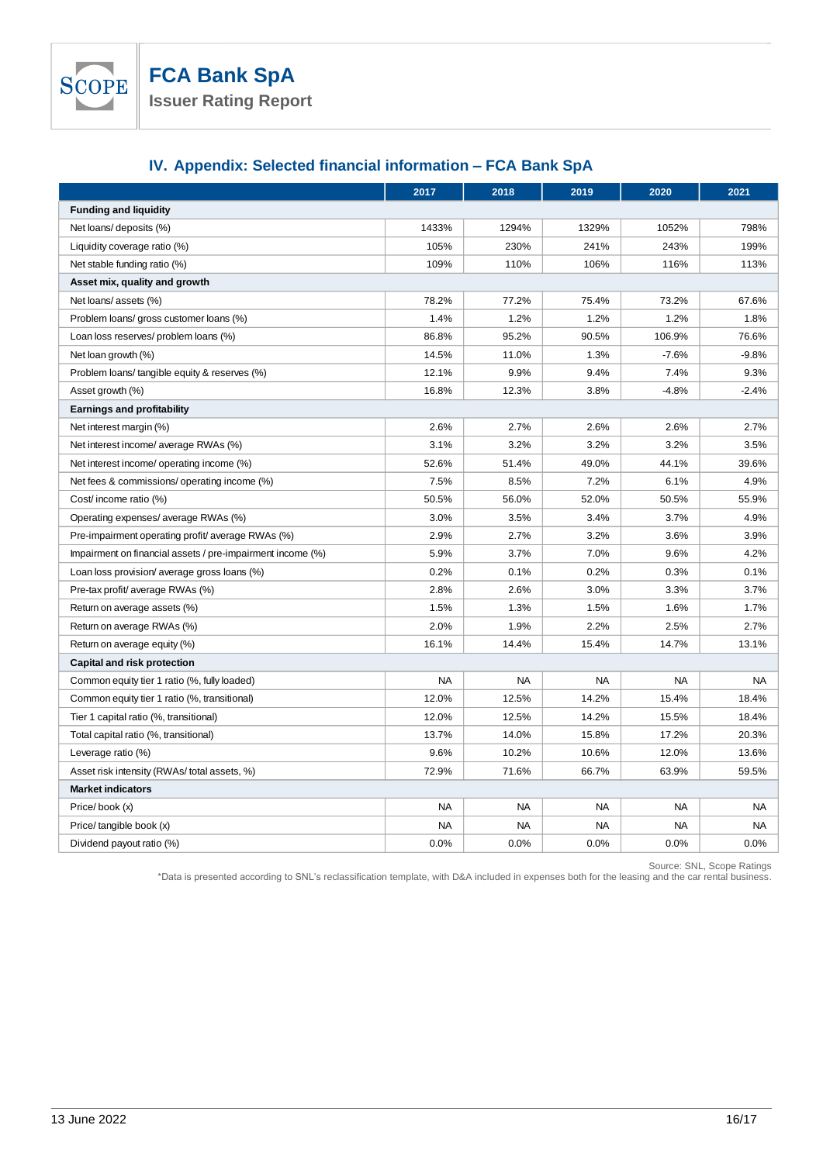

# **IV. Appendix: Selected financial information – FCA Bank SpA**

|                                                            | 2017      | 2018      | 2019      | 2020      | 2021      |  |  |
|------------------------------------------------------------|-----------|-----------|-----------|-----------|-----------|--|--|
| <b>Funding and liquidity</b>                               |           |           |           |           |           |  |  |
| Net loans/ deposits (%)                                    | 1433%     | 1294%     | 1329%     | 1052%     | 798%      |  |  |
| Liquidity coverage ratio (%)                               | 105%      | 230%      | 241%      | 243%      | 199%      |  |  |
| Net stable funding ratio (%)                               | 109%      | 110%      | 106%      | 116%      | 113%      |  |  |
| Asset mix, quality and growth                              |           |           |           |           |           |  |  |
| Net loans/ assets (%)                                      | 78.2%     | 77.2%     | 75.4%     | 73.2%     | 67.6%     |  |  |
| Problem loans/ gross customer loans (%)                    | 1.4%      | 1.2%      | 1.2%      | 1.2%      | 1.8%      |  |  |
| Loan loss reserves/ problem loans (%)                      | 86.8%     | 95.2%     | 90.5%     | 106.9%    | 76.6%     |  |  |
| Net loan growth (%)                                        | 14.5%     | 11.0%     | 1.3%      | $-7.6%$   | $-9.8%$   |  |  |
| Problem loans/tangible equity & reserves (%)               | 12.1%     | 9.9%      | 9.4%      | 7.4%      | 9.3%      |  |  |
| Asset growth (%)                                           | 16.8%     | 12.3%     | 3.8%      | $-4.8%$   | $-2.4%$   |  |  |
| <b>Earnings and profitability</b>                          |           |           |           |           |           |  |  |
| Net interest margin (%)                                    | 2.6%      | 2.7%      | 2.6%      | 2.6%      | 2.7%      |  |  |
| Net interest income/ average RWAs (%)                      | 3.1%      | 3.2%      | 3.2%      | 3.2%      | 3.5%      |  |  |
| Net interest income/ operating income (%)                  | 52.6%     | 51.4%     | 49.0%     | 44.1%     | 39.6%     |  |  |
| Net fees & commissions/ operating income (%)               | 7.5%      | 8.5%      | 7.2%      | 6.1%      | 4.9%      |  |  |
| Cost/ income ratio (%)                                     | 50.5%     | 56.0%     | 52.0%     | 50.5%     | 55.9%     |  |  |
| Operating expenses/ average RWAs (%)                       | 3.0%      | 3.5%      | 3.4%      | 3.7%      | 4.9%      |  |  |
| Pre-impairment operating profit/average RWAs (%)           | 2.9%      | 2.7%      | 3.2%      | 3.6%      | 3.9%      |  |  |
| Impairment on financial assets / pre-impairment income (%) | 5.9%      | 3.7%      | 7.0%      | 9.6%      | 4.2%      |  |  |
| Loan loss provision/ average gross loans (%)               | 0.2%      | 0.1%      | 0.2%      | 0.3%      | 0.1%      |  |  |
| Pre-tax profit/ average RWAs (%)                           | 2.8%      | 2.6%      | 3.0%      | 3.3%      | 3.7%      |  |  |
| Return on average assets (%)                               | 1.5%      | 1.3%      | 1.5%      | 1.6%      | 1.7%      |  |  |
| Return on average RWAs (%)                                 | 2.0%      | 1.9%      | 2.2%      | 2.5%      | 2.7%      |  |  |
| Return on average equity (%)                               | 16.1%     | 14.4%     | 15.4%     | 14.7%     | 13.1%     |  |  |
| Capital and risk protection                                |           |           |           |           |           |  |  |
| Common equity tier 1 ratio (%, fully loaded)               | <b>NA</b> | <b>NA</b> | <b>NA</b> | <b>NA</b> | <b>NA</b> |  |  |
| Common equity tier 1 ratio (%, transitional)               | 12.0%     | 12.5%     | 14.2%     | 15.4%     | 18.4%     |  |  |
| Tier 1 capital ratio (%, transitional)                     | 12.0%     | 12.5%     | 14.2%     | 15.5%     | 18.4%     |  |  |
| Total capital ratio (%, transitional)                      | 13.7%     | 14.0%     | 15.8%     | 17.2%     | 20.3%     |  |  |
| Leverage ratio (%)                                         | 9.6%      | 10.2%     | 10.6%     | 12.0%     | 13.6%     |  |  |
| Asset risk intensity (RWAs/total assets, %)                | 72.9%     | 71.6%     | 66.7%     | 63.9%     | 59.5%     |  |  |
| <b>Market indicators</b>                                   |           |           |           |           |           |  |  |
| Price/book (x)                                             | <b>NA</b> | <b>NA</b> | <b>NA</b> | <b>NA</b> | <b>NA</b> |  |  |
| Price/tangible book (x)                                    | <b>NA</b> | <b>NA</b> | <b>NA</b> | <b>NA</b> | <b>NA</b> |  |  |
| Dividend payout ratio (%)                                  | 0.0%      | 0.0%      | 0.0%      | 0.0%      | 0.0%      |  |  |

Source: SNL, Scope Ratings

\*Data is presented according to SNL's reclassification template, with D&A included in expenses both for the leasing and the car rental business.